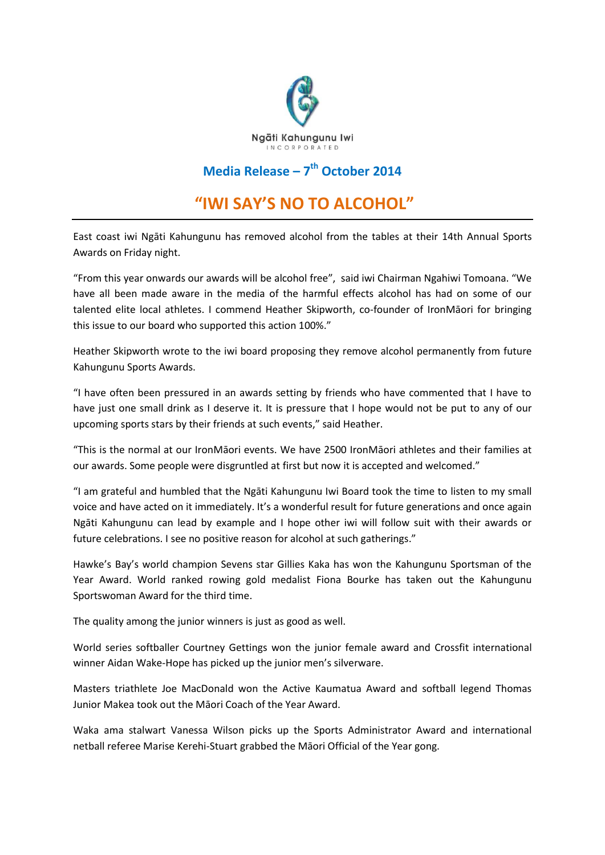

## **Media Release – 7 th October 2014**

## **"IWI SAY'S NO TO ALCOHOL"**

East coast iwi Ngāti Kahungunu has removed alcohol from the tables at their 14th Annual Sports Awards on Friday night.

"From this year onwards our awards will be alcohol free", said iwi Chairman Ngahiwi Tomoana. "We have all been made aware in the media of the harmful effects alcohol has had on some of our talented elite local athletes. I commend Heather Skipworth, co-founder of IronMāori for bringing this issue to our board who supported this action 100%."

Heather Skipworth wrote to the iwi board proposing they remove alcohol permanently from future Kahungunu Sports Awards.

"I have often been pressured in an awards setting by friends who have commented that I have to have just one small drink as I deserve it. It is pressure that I hope would not be put to any of our upcoming sports stars by their friends at such events," said Heather.

"This is the normal at our IronMāori events. We have 2500 IronMāori athletes and their families at our awards. Some people were disgruntled at first but now it is accepted and welcomed."

"I am grateful and humbled that the Ngāti Kahungunu Iwi Board took the time to listen to my small voice and have acted on it immediately. It's a wonderful result for future generations and once again Ngāti Kahungunu can lead by example and I hope other iwi will follow suit with their awards or future celebrations. I see no positive reason for alcohol at such gatherings."

Hawke's Bay's world champion Sevens star Gillies Kaka has won the Kahungunu Sportsman of the Year Award. World ranked rowing gold medalist Fiona Bourke has taken out the Kahungunu Sportswoman Award for the third time.

The quality among the junior winners is just as good as well.

World series softballer Courtney Gettings won the junior female award and Crossfit international winner Aidan Wake-Hope has picked up the junior men's silverware.

Masters triathlete Joe MacDonald won the Active Kaumatua Award and softball legend Thomas Junior Makea took out the Māori Coach of the Year Award.

Waka ama stalwart Vanessa Wilson picks up the Sports Administrator Award and international netball referee Marise Kerehi-Stuart grabbed the Māori Official of the Year gong.